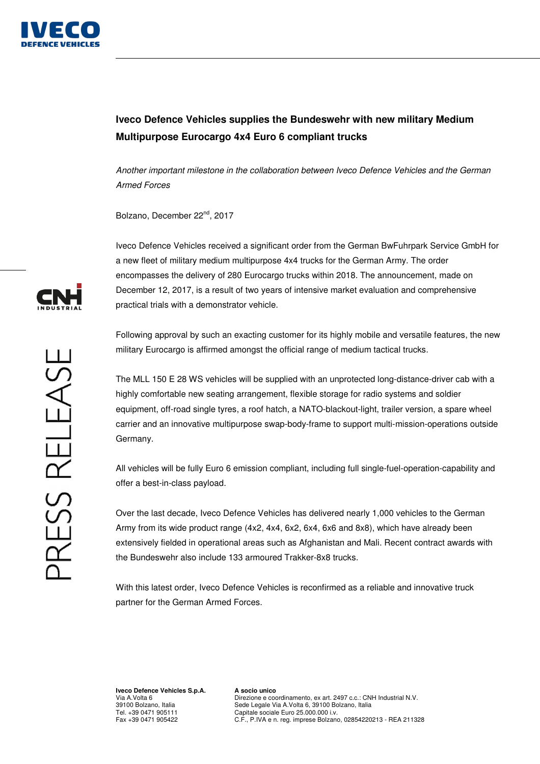

## **Iveco Defence Vehicles supplies the Bundeswehr with new military Medium Multipurpose Eurocargo 4x4 Euro 6 compliant trucks**

Another important milestone in the collaboration between Iveco Defence Vehicles and the German Armed Forces

Bolzano, December 22nd, 2017

Iveco Defence Vehicles received a significant order from the German BwFuhrpark Service GmbH for a new fleet of military medium multipurpose 4x4 trucks for the German Army. The order encompasses the delivery of 280 Eurocargo trucks within 2018. The announcement, made on December 12, 2017, is a result of two years of intensive market evaluation and comprehensive practical trials with a demonstrator vehicle.

Following approval by such an exacting customer for its highly mobile and versatile features, the new military Eurocargo is affirmed amongst the official range of medium tactical trucks.

The MLL 150 E 28 WS vehicles will be supplied with an unprotected long-distance-driver cab with a highly comfortable new seating arrangement, flexible storage for radio systems and soldier equipment, off-road single tyres, a roof hatch, a NATO-blackout-light, trailer version, a spare wheel carrier and an innovative multipurpose swap-body-frame to support multi-mission-operations outside Germany.

All vehicles will be fully Euro 6 emission compliant, including full single-fuel-operation-capability and offer a best-in-class payload.

Over the last decade, Iveco Defence Vehicles has delivered nearly 1,000 vehicles to the German Army from its wide product range (4x2, 4x4, 6x2, 6x4, 6x6 and 8x8), which have already been extensively fielded in operational areas such as Afghanistan and Mali. Recent contract awards with the Bundeswehr also include 133 armoured Trakker-8x8 trucks.

With this latest order, Iveco Defence Vehicles is reconfirmed as a reliable and innovative truck partner for the German Armed Forces.

**Iveco Defence Vehicles S.p.A.**  Via A.Volta 6 39100 Bolzano, Italia Tel. +39 0471 905111 Fax +39 0471 905422

**A socio unico**  Direzione e coordinamento, ex art. 2497 c.c.: CNH Industrial N.V. Sede Legale Via A.Volta 6, 39100 Bolzano, Italia Capitale sociale Euro 25.000.000 i.v. C.F., P.IVA e n. reg. imprese Bolzano, 02854220213 - REA 211328